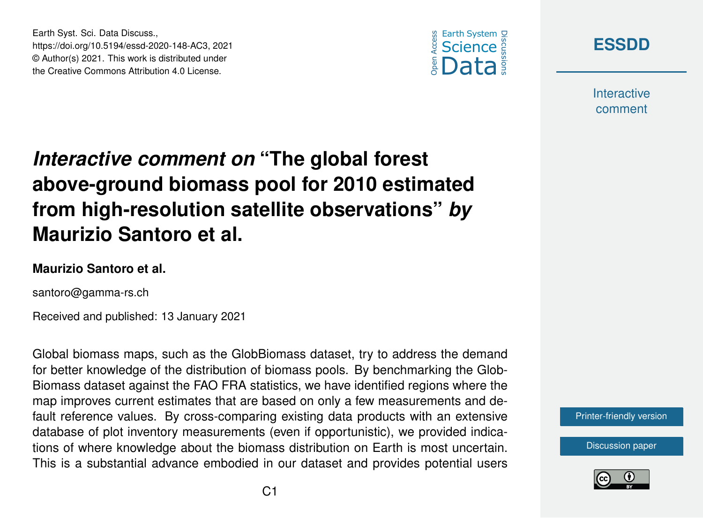



**Interactive** comment

## *Interactive comment on* **"The global forest above-ground biomass pool for 2010 estimated from high-resolution satellite observations"** *by* **Maurizio Santoro et al.**

## **Maurizio Santoro et al.**

Earth Syst. Sci. Data Discuss.,

https://doi.org/10.5194/essd-2020-148-AC3, 2021 © Author(s) 2021. This work is distributed under the Creative Commons Attribution 4.0 License.

santoro@gamma-rs.ch

Received and published: 13 January 2021

Global biomass maps, such as the GlobBiomass dataset, try to address the demand for better knowledge of the distribution of biomass pools. By benchmarking the Glob-Biomass dataset against the FAO FRA statistics, we have identified regions where the map improves current estimates that are based on only a few measurements and default reference values. By cross-comparing existing data products with an extensive database of plot inventory measurements (even if opportunistic), we provided indications of where knowledge about the biomass distribution on Earth is most uncertain. This is a substantial advance embodied in our dataset and provides potential users



[Discussion paper](https://essd.copernicus.org/preprints/essd-2020-148)